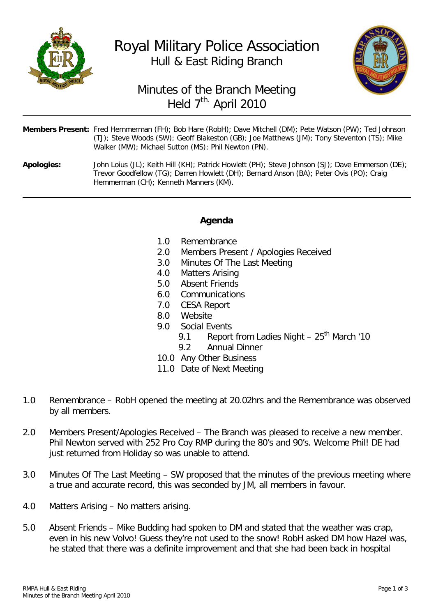



## Minutes of the Branch Meeting Held 7<sup>th.</sup> April 2010

| Members Present: Fred Hemmerman (FH); Bob Hare (RobH); Dave Mitchell (DM); Pete Watson (PW); Ted Johnson |
|----------------------------------------------------------------------------------------------------------|
| (TJ); Steve Woods (SW); Geoff Blakeston (GB); Joe Matthews (JM); Tony Steventon (TS); Mike               |
| Walker (MW); Michael Sutton (MS); Phil Newton (PN).                                                      |

**Apologies:** John Loius (JL); Keith Hill (KH); Patrick Howlett (PH); Steve Johnson (SJ); Dave Emmerson (DE); Trevor Goodfellow (TG); Darren Howlett (DH); Bernard Anson (BA); Peter Ovis (PO); Craig Hemmerman (CH); Kenneth Manners (KM).

## **Agenda**

- 
- 1.0 Remembrance<br>2.0 Members Prese 2.0 Members Present / Apologies Received<br>3.0 Minutes Of The Last Meeting
- Minutes Of The Last Meeting
- 4.0 Matters Arising<br>5.0 Absent Friends
- Absent Friends
- 6.0 Communications
- 7.0 CESA Report
- 8.0 Website<br>9.0 Social Fy
- Social Events
	- 9.1 Report from Ladies Night  $-25$ <sup>th</sup> March '10
	- 9.2 Annual Dinner
- 10.0 Any Other Business
- 11.0 Date of Next Meeting
- 1.0 Remembrance RobH opened the meeting at 20.02hrs and the Remembrance was observed by all members.
- 2.0 Members Present/Apologies Received The Branch was pleased to receive a new member. Phil Newton served with 252 Pro Coy RMP during the 80's and 90's. Welcome Phil! DE had just returned from Holiday so was unable to attend.
- 3.0 Minutes Of The Last Meeting SW proposed that the minutes of the previous meeting where a true and accurate record, this was seconded by JM, all members in favour.
- 4.0 Matters Arising No matters arising.
- 5.0 Absent Friends Mike Budding had spoken to DM and stated that the weather was crap, even in his new Volvo! Guess they're not used to the snow! RobH asked DM how Hazel was, he stated that there was a definite improvement and that she had been back in hospital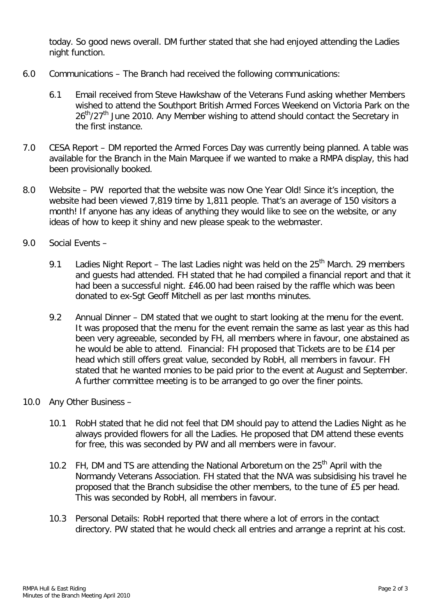today. So good news overall. DM further stated that she had enjoyed attending the Ladies night function.

- 6.0 Communications The Branch had received the following communications:
	- 6.1 Email received from Steve Hawkshaw of the Veterans Fund asking whether Members wished to attend the Southport British Armed Forces Weekend on Victoria Park on the  $26<sup>th</sup>/27<sup>th</sup>$  June 2010. Any Member wishing to attend should contact the Secretary in the first instance.
- 7.0 CESA Report DM reported the Armed Forces Day was currently being planned. A table was available for the Branch in the Main Marquee if we wanted to make a RMPA display, this had been provisionally booked.
- 8.0 Website PW reported that the website was now One Year Old! Since it's inception, the website had been viewed 7,819 time by 1,811 people. That's an average of 150 visitors a month! If anyone has any ideas of anything they would like to see on the website, or any ideas of how to keep it shiny and new please speak to the webmaster.
- 9.0 Social Events
	- 9.1 Ladies Night Report The last Ladies night was held on the  $25<sup>th</sup>$  March. 29 members and guests had attended. FH stated that he had compiled a financial report and that it had been a successful night. £46.00 had been raised by the raffle which was been donated to ex-Sgt Geoff Mitchell as per last months minutes.
	- 9.2 Annual Dinner DM stated that we ought to start looking at the menu for the event. It was proposed that the menu for the event remain the same as last year as this had been very agreeable, seconded by FH, all members where in favour, one abstained as he would be able to attend. Financial: FH proposed that Tickets are to be £14 per head which still offers great value, seconded by RobH, all members in favour. FH stated that he wanted monies to be paid prior to the event at August and September. A further committee meeting is to be arranged to go over the finer points.
- 10.0 Any Other Business
	- 10.1 RobH stated that he did not feel that DM should pay to attend the Ladies Night as he always provided flowers for all the Ladies. He proposed that DM attend these events for free, this was seconded by PW and all members were in favour.
	- 10.2 FH, DM and TS are attending the National Arboretum on the 25<sup>th</sup> April with the Normandy Veterans Association. FH stated that the NVA was subsidising his travel he proposed that the Branch subsidise the other members, to the tune of £5 per head. This was seconded by RobH, all members in favour.
	- 10.3 Personal Details: RobH reported that there where a lot of errors in the contact directory. PW stated that he would check all entries and arrange a reprint at his cost.